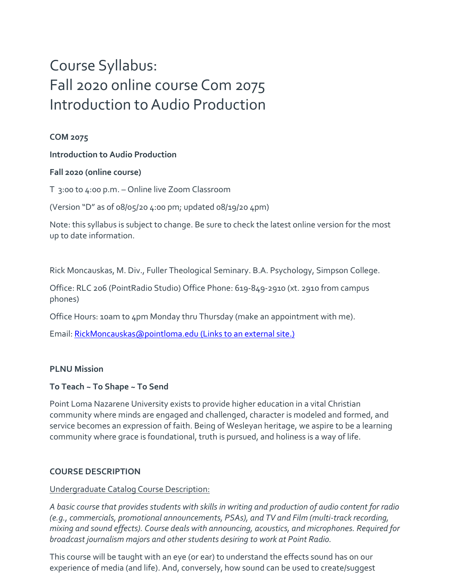# Course Syllabus: Fall 2020 online course Com 2075 Introduction to Audio Production

# **COM 2075**

# **Introduction to Audio Production**

# **Fall 2020 (online course)**

T 3:00 to 4:00 p.m. – Online live Zoom Classroom

(Version "D" as of 08/05/20 4:00 pm; updated 08/19/20 4pm)

Note: this syllabus is subject to change. Be sure to check the latest online version for the most up to date information.

Rick Moncauskas, M. Div., Fuller Theological Seminary. B.A. Psychology, Simpson College.

Office: RLC 206 (PointRadio Studio) Office Phone: 619-849-2910 (xt. 2910 from campus phones)

Office Hours: 10am to 4pm Monday thru Thursday (make an appointment with me).

Email: [RickMoncauskas@pointloma.edu](https://mail.google.com/mail/?view=cm&fs=1&tf=1&to=RickMoncauskas@pointloma.edu) (Links to an external site.)

#### **PLNU Mission**

# **To Teach ~ To Shape ~ To Send**

Point Loma Nazarene University exists to provide higher education in a vital Christian community where minds are engaged and challenged, character is modeled and formed, and service becomes an expression of faith. Being of Wesleyan heritage, we aspire to be a learning community where grace is foundational, truth is pursued, and holiness is a way of life.

#### **COURSE DESCRIPTION**

#### Undergraduate Catalog Course Description:

*A basic course that provides students with skills in writing and production of audio content for radio (e.g., commercials, promotional announcements, PSAs), and TV and Film (multi-track recording, mixing and sound effects). Course deals with announcing, acoustics, and microphones. Required for broadcast journalism majors and other students desiring to work at Point Radio.*

This course will be taught with an eye (or ear) to understand the effects sound has on our experience of media (and life). And, conversely, how sound can be used to create/suggest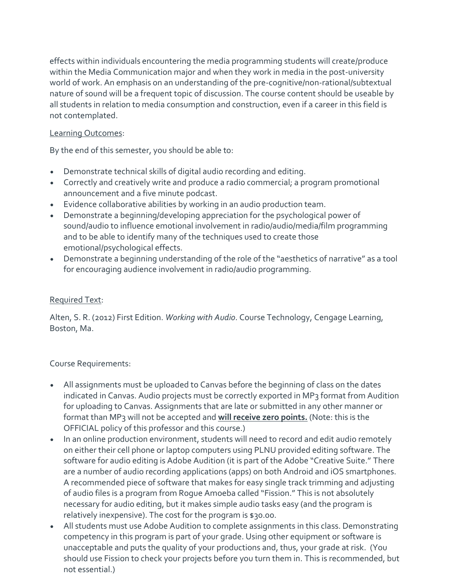effects within individuals encountering the media programming students will create/produce within the Media Communication major and when they work in media in the post-university world of work. An emphasis on an understanding of the pre-cognitive/non-rational/subtextual nature of sound will be a frequent topic of discussion. The course content should be useable by all students in relation to media consumption and construction, even if a career in this field is not contemplated.

# Learning Outcomes:

By the end of this semester, you should be able to:

- Demonstrate technical skills of digital audio recording and editing.
- Correctly and creatively write and produce a radio commercial; a program promotional announcement and a five minute podcast.
- Evidence collaborative abilities by working in an audio production team.
- Demonstrate a beginning/developing appreciation for the psychological power of sound/audio to influence emotional involvement in radio/audio/media/film programming and to be able to identify many of the techniques used to create those emotional/psychological effects.
- Demonstrate a beginning understanding of the role of the "aesthetics of narrative" as a tool for encouraging audience involvement in radio/audio programming.

#### Required Text:

Alten, S. R. (2012) First Edition. *Working with Audio*. Course Technology, Cengage Learning, Boston, Ma.

#### Course Requirements:

- All assignments must be uploaded to Canvas before the beginning of class on the dates indicated in Canvas. Audio projects must be correctly exported in MP3 format from Audition for uploading to Canvas. Assignments that are late or submitted in any other manner or format than MP3 will not be accepted and **will receive zero points.** (Note: this is the OFFICIAL policy of this professor and this course.)
- In an online production environment, students will need to record and edit audio remotely on either their cell phone or laptop computers using PLNU provided editing software. The software for audio editing is Adobe Audition (it is part of the Adobe "Creative Suite." There are a number of audio recording applications (apps) on both Android and iOS smartphones. A recommended piece of software that makes for easy single track trimming and adjusting of audio files is a program from Rogue Amoeba called "Fission." This is not absolutely necessary for audio editing, but it makes simple audio tasks easy (and the program is relatively inexpensive). The cost for the program is \$30.00.
- All students must use Adobe Audition to complete assignments in this class. Demonstrating competency in this program is part of your grade. Using other equipment or software is unacceptable and puts the quality of your productions and, thus, your grade at risk. (You should use Fission to check your projects before you turn them in. This is recommended, but not essential.)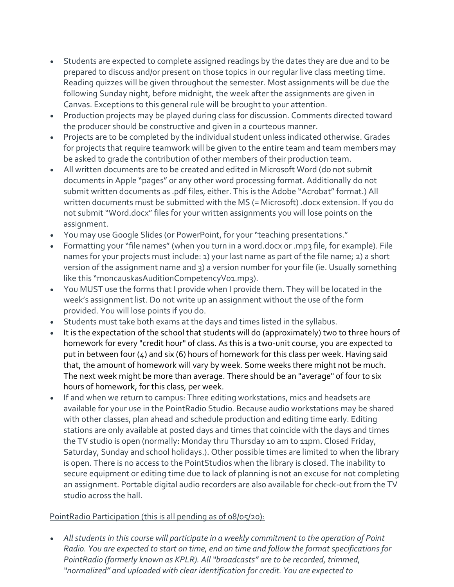- Students are expected to complete assigned readings by the dates they are due and to be prepared to discuss and/or present on those topics in our regular live class meeting time. Reading quizzes will be given throughout the semester. Most assignments will be due the following Sunday night, before midnight, the week after the assignments are given in Canvas. Exceptions to this general rule will be brought to your attention.
- Production projects may be played during class for discussion. Comments directed toward the producer should be constructive and given in a courteous manner.
- Projects are to be completed by the individual student unless indicated otherwise. Grades for projects that require teamwork will be given to the entire team and team members may be asked to grade the contribution of other members of their production team.
- All written documents are to be created and edited in Microsoft Word (do not submit documents in Apple "pages" or any other word processing format. Additionally do not submit written documents as .pdf files, either. This is the Adobe "Acrobat" format.) All written documents must be submitted with the MS (= Microsoft) .docx extension. If you do not submit "Word.docx" files for your written assignments you will lose points on the assignment.
- You may use Google Slides (or PowerPoint, for your "teaching presentations."
- Formatting your "file names" (when you turn in a word.docx or .mp3 file, for example). File names for your projects must include: 1) your last name as part of the file name; 2) a short version of the assignment name and 3) a version number for your file (ie. Usually something like this "moncauskasAuditionCompetencyV01.mp3).
- You MUST use the forms that I provide when I provide them. They will be located in the week's assignment list. Do not write up an assignment without the use of the form provided. You will lose points if you do.
- Students must take both exams at the days and times listed in the syllabus.
- It is the expectation of the school that students will do (approximately) two to three hours of homework for every "credit hour" of class. As this is a two-unit course, you are expected to put in between four (4) and six (6) hours of homework for this class per week. Having said that, the amount of homework will vary by week. Some weeks there might not be much. The next week might be more than average. There should be an "average" of four to six hours of homework, for this class, per week.
- If and when we return to campus: Three editing workstations, mics and headsets are available for your use in the PointRadio Studio. Because audio workstations may be shared with other classes, plan ahead and schedule production and editing time early. Editing stations are only available at posted days and times that coincide with the days and times the TV studio is open (normally: Monday thru Thursday 10 am to 11pm. Closed Friday, Saturday, Sunday and school holidays.). Other possible times are limited to when the library is open. There is no access to the PointStudios when the library is closed. The inability to secure equipment or editing time due to lack of planning is not an excuse for not completing an assignment. Portable digital audio recorders are also available for check-out from the TV studio across the hall.

#### PointRadio Participation (this is all pending as of 08/05/20):

 *All students in this course will participate in a weekly commitment to the operation of Point Radio. You are expected to start on time, end on time and follow the format specifications for PointRadio (formerly known as KPLR). All "broadcasts" are to be recorded, trimmed, "normalized" and uploaded with clear identification for credit. You are expected to*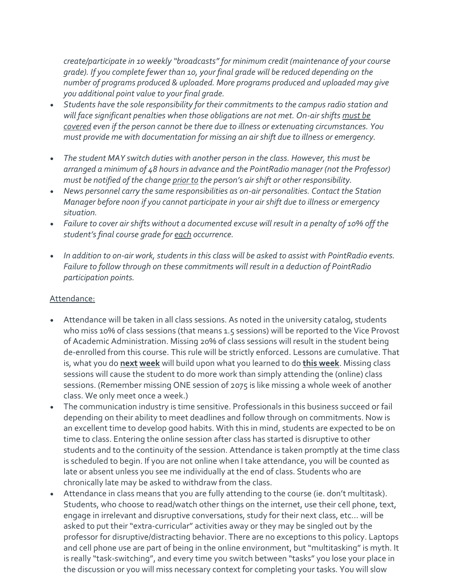*create/participate in 10 weekly "broadcasts" for minimum credit (maintenance of your course grade). If you complete fewer than 10, your final grade will be reduced depending on the number of programs produced & uploaded. More programs produced and uploaded may give you additional point value to your final grade.*

- *Students have the sole responsibility for their commitments to the campus radio station and*  will face significant penalties when those obligations are not met. On-air shifts *must be covered even if the person cannot be there due to illness or extenuating circumstances. You must provide me with documentation for missing an air shift due to illness or emergency.*
- *The student MAY switch duties with another person in the class. However, this must be arranged a minimum of 48 hours in advance and the PointRadio manager (not the Professor) must be notified of the change prior to the person's air shift or other responsibility.*
- *News personnel carry the same responsibilities as on-air personalities. Contact the Station Manager before noon if you cannot participate in your air shift due to illness or emergency situation.*
- *Failure to cover air shifts without a documented excuse will result in a penalty of 10% off the student's final course grade for each occurrence.*
- *In addition to on-air work, students in this class will be asked to assist with PointRadio events. Failure to follow through on these commitments will result in a deduction of PointRadio participation points.*

#### Attendance:

- Attendance will be taken in all class sessions. As noted in the university catalog, students who miss 10% of class sessions (that means 1.5 sessions) will be reported to the Vice Provost of Academic Administration. Missing 20% of class sessions will result in the student being de-enrolled from this course. This rule will be strictly enforced. Lessons are cumulative. That is, what you do **next week** will build upon what you learned to do **this week**. Missing class sessions will cause the student to do more work than simply attending the (online) class sessions. (Remember missing ONE session of 2075 is like missing a whole week of another class. We only meet once a week.)
- The communication industry is time sensitive. Professionals in this business succeed or fail depending on their ability to meet deadlines and follow through on commitments. Now is an excellent time to develop good habits. With this in mind, students are expected to be on time to class. Entering the online session after class has started is disruptive to other students and to the continuity of the session. Attendance is taken promptly at the time class is scheduled to begin. If you are not online when I take attendance, you will be counted as late or absent unless you see me individually at the end of class. Students who are chronically late may be asked to withdraw from the class.
- Attendance in class means that you are fully attending to the course (ie. don't multitask). Students, who choose to read/watch other things on the internet, use their cell phone, text, engage in irrelevant and disruptive conversations, study for their next class, etc… will be asked to put their "extra-curricular" activities away or they may be singled out by the professor for disruptive/distracting behavior. There are no exceptions to this policy. Laptops and cell phone use are part of being in the online environment, but "multitasking" is myth. It is really "task-switching", and every time you switch between "tasks" you lose your place in the discussion or you will miss necessary context for completing your tasks. You will slow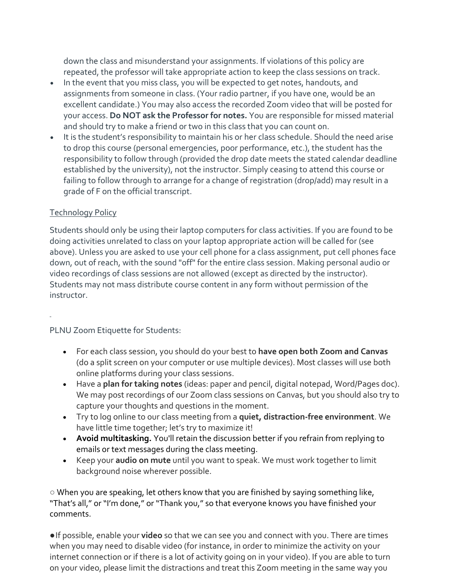down the class and misunderstand your assignments. If violations of this policy are repeated, the professor will take appropriate action to keep the class sessions on track.

- In the event that you miss class, you will be expected to get notes, handouts, and assignments from someone in class. (Your radio partner, if you have one, would be an excellent candidate.) You may also access the recorded Zoom video that will be posted for your access. **Do NOT ask the Professor for notes.** You are responsible for missed material and should try to make a friend or two in this class that you can count on.
- It is the student's responsibility to maintain his or her class schedule. Should the need arise to drop this course (personal emergencies, poor performance, etc.), the student has the responsibility to follow through (provided the drop date meets the stated calendar deadline established by the university), not the instructor. Simply ceasing to attend this course or failing to follow through to arrange for a change of registration (drop/add) may result in a grade of F on the official transcript.

#### Technology Policy

Students should only be using their laptop computers for class activities. If you are found to be doing activities unrelated to class on your laptop appropriate action will be called for (see above). Unless you are asked to use your cell phone for a class assignment, put cell phones face down, out of reach, with the sound "off" for the entire class session. Making personal audio or video recordings of class sessions are not allowed (except as directed by the instructor). Students may not mass distribute course content in any form without permission of the instructor.

#### PLNU Zoom Etiquette for Students:

- For each class session, you should do your best to **have open both Zoom and Canvas**  (do a split screen on your computer or use multiple devices). Most classes will use both online platforms during your class sessions.
- Have a **plan for taking notes** (ideas: paper and pencil, digital notepad, Word/Pages doc). We may post recordings of our Zoom class sessions on Canvas, but you should also try to capture your thoughts and questions in the moment.
- Try to log online to our class meeting from a **quiet, distraction-free environment**. We have little time together; let's try to maximize it!
- **Avoid multitasking.** You'll retain the discussion better if you refrain from replying to emails or text messages during the class meeting.
- Keep your **audio on mute** until you want to speak. We must work together to limit background noise wherever possible.

 $\circ$  When you are speaking, let others know that you are finished by saying something like, "That's all," or "I'm done," or "Thank you," so that everyone knows you have finished your comments.

● If possible, enable your **video** so that we can see you and connect with you. There are times when you may need to disable video (for instance, in order to minimize the activity on your internet connection or if there is a lot of activity going on in your video). If you are able to turn on your video, please limit the distractions and treat this Zoom meeting in the same way you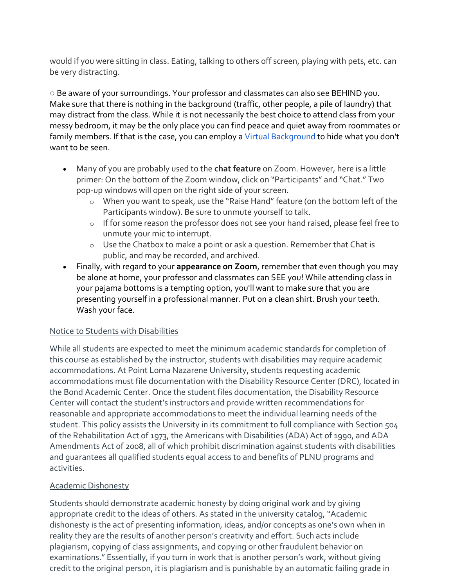would if you were sitting in class. Eating, talking to others off screen, playing with pets, etc. can be very distracting.

○ Be aware of your surroundings. Your professor and classmates can also see BEHIND you. Make sure that there is nothing in the background (traffic, other people, a pile of laundry) that may distract from the class. While it is not necessarily the best choice to attend class from your messy bedroom, it may be the only place you can find peace and quiet away from roommates or family members. If that is the case, you can employ a Virtual Background to hide what you don't want to be seen.

- Many of you are probably used to the **chat feature** on Zoom. However, here is a little primer: On the bottom of the Zoom window, click on "Participants" and "Chat." Two pop-up windows will open on the right side of your screen.
	- o When you want to speak, use the "Raise Hand" feature (on the bottom left of the Participants window). Be sure to unmute yourself to talk.
	- o If for some reason the professor does not see your hand raised, please feel free to unmute your mic to interrupt.
	- o Use the Chatbox to make a point or ask a question. Remember that Chat is public, and may be recorded, and archived.
- Finally, with regard to your **appearance on Zoom**, remember that even though you may be alone at home, your professor and classmates can SEE you! While attending class in your pajama bottoms is a tempting option, you'll want to make sure that you are presenting yourself in a professional manner. Put on a clean shirt. Brush your teeth. Wash your face.

#### Notice to Students with Disabilities

While all students are expected to meet the minimum academic standards for completion of this course as established by the instructor, students with disabilities may require academic accommodations. At Point Loma Nazarene University, students requesting academic accommodations must file documentation with the Disability Resource Center (DRC), located in the Bond Academic Center. Once the student files documentation, the Disability Resource Center will contact the student's instructors and provide written recommendations for reasonable and appropriate accommodations to meet the individual learning needs of the student. This policy assists the University in its commitment to full compliance with Section 504 of the Rehabilitation Act of 1973, the Americans with Disabilities (ADA) Act of 1990, and ADA Amendments Act of 2008, all of which prohibit discrimination against students with disabilities and guarantees all qualified students equal access to and benefits of PLNU programs and activities.

# Academic Dishonesty

Students should demonstrate academic honesty by doing original work and by giving appropriate credit to the ideas of others. As stated in the university catalog, "Academic dishonesty is the act of presenting information, ideas, and/or concepts as one's own when in reality they are the results of another person's creativity and effort. Such acts include plagiarism, copying of class assignments, and copying or other fraudulent behavior on examinations." Essentially, if you turn in work that is another person's work, without giving credit to the original person, it is plagiarism and is punishable by an automatic failing grade in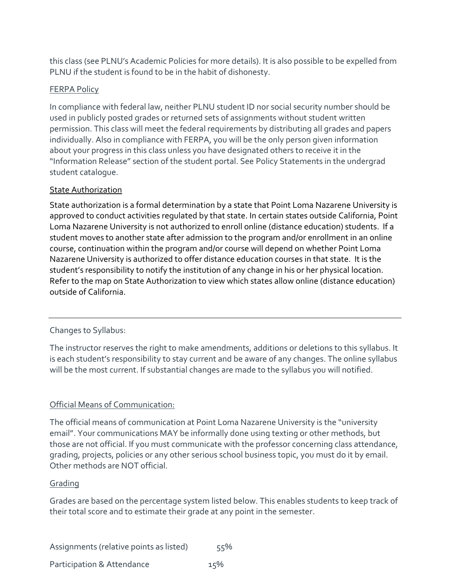this class (see PLNU's Academic Policies for more details). It is also possible to be expelled from PLNU if the student is found to be in the habit of dishonesty.

#### FERPA Policy

In compliance with federal law, neither PLNU student ID nor social security number should be used in publicly posted grades or returned sets of assignments without student written permission. This class will meet the federal requirements by distributing all grades and papers individually. Also in compliance with FERPA, you will be the only person given information about your progress in this class unless you have designated others to receive it in the "Information Release" section of the student portal. See Policy Statements in the undergrad student catalogue.

#### State Authorization

State authorization is a formal determination by a state that Point Loma Nazarene University is approved to conduct activities regulated by that state. In certain states outside California, Point Loma Nazarene University is not authorized to enroll online (distance education) students. If a student moves to another state after admission to the program and/or enrollment in an online course, continuation within the program and/or course will depend on whether Point Loma Nazarene University is authorized to offer distance education courses in that state. It is the student's responsibility to notify the institution of any change in his or her physical location. Refer to the map on State Authorization to view which states allow online (distance education) outside of California.

#### Changes to Syllabus:

The instructor reserves the right to make amendments, additions or deletions to this syllabus. It is each student's responsibility to stay current and be aware of any changes. The online syllabus will be the most current. If substantial changes are made to the syllabus you will notified.

#### Official Means of Communication:

The official means of communication at Point Loma Nazarene University is the "university email". Your communications MAY be informally done using texting or other methods, but those are not official. If you must communicate with the professor concerning class attendance, grading, projects, policies or any other serious school business topic, you must do it by email. Other methods are NOT official.

#### Grading

Grades are based on the percentage system listed below. This enables students to keep track of their total score and to estimate their grade at any point in the semester.

Assignments (relative points as listed) 55% Participation & Attendance 15%